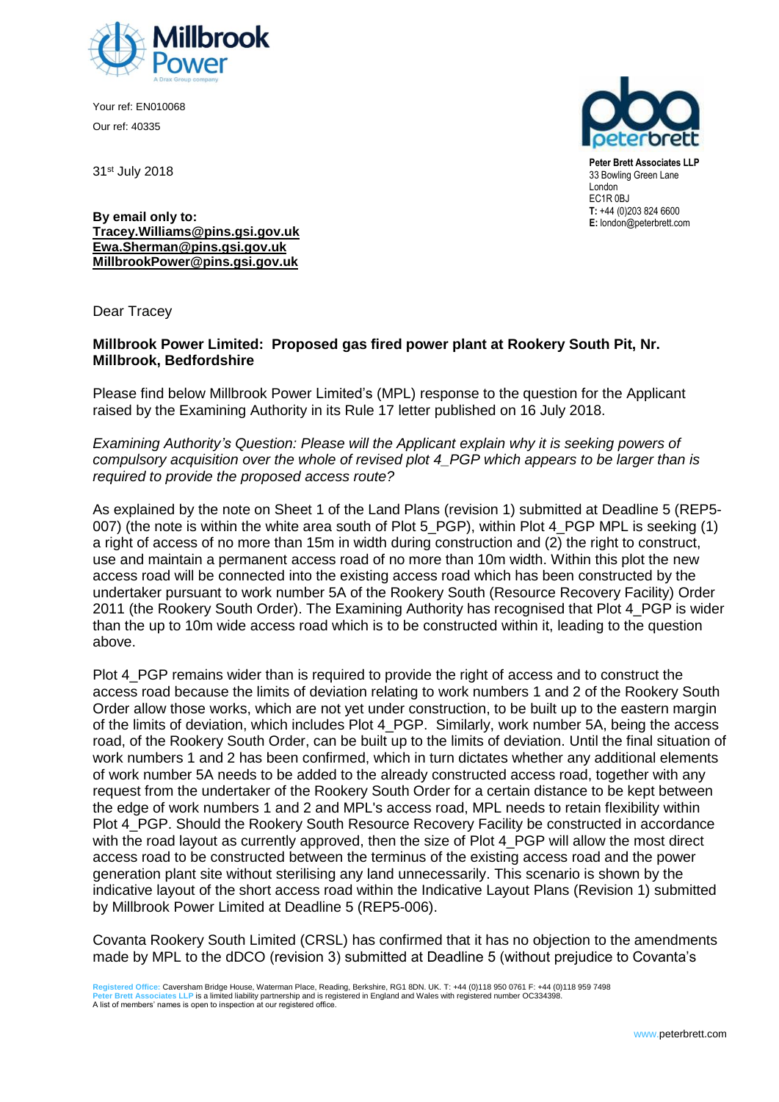

Your ref: EN010068 Our ref: 40335

31st July 2018



**Peter Brett Associates LLP** 33 Bowling Green Lane London EC1R 0BJ **T:** +44 (0)203 824 6600 **E:** london@peterbrett.com

**By email only to: [Tracey.Williams@pins.gsi.gov.uk](mailto:Tracey.Williams@pins.gsi.gov.uk) [Ewa.Sherman@pins.gsi.gov.uk](mailto:Ewa.Sherman@pins.gsi.gov.uk) MillbrookPower@pins.gsi.gov.uk**

Dear Tracey

## **Millbrook Power Limited: Proposed gas fired power plant at Rookery South Pit, Nr. Millbrook, Bedfordshire**

Please find below Millbrook Power Limited's (MPL) response to the question for the Applicant raised by the Examining Authority in its Rule 17 letter published on 16 July 2018.

*Examining Authority's Question: Please will the Applicant explain why it is seeking powers of compulsory acquisition over the whole of revised plot 4\_PGP which appears to be larger than is required to provide the proposed access route?* 

As explained by the note on Sheet 1 of the Land Plans (revision 1) submitted at Deadline 5 (REP5- 007) (the note is within the white area south of Plot 5\_PGP), within Plot 4\_PGP MPL is seeking (1) a right of access of no more than 15m in width during construction and (2) the right to construct, use and maintain a permanent access road of no more than 10m width. Within this plot the new access road will be connected into the existing access road which has been constructed by the undertaker pursuant to work number 5A of the Rookery South (Resource Recovery Facility) Order 2011 (the Rookery South Order). The Examining Authority has recognised that Plot 4\_PGP is wider than the up to 10m wide access road which is to be constructed within it, leading to the question above.

Plot 4 PGP remains wider than is required to provide the right of access and to construct the access road because the limits of deviation relating to work numbers 1 and 2 of the Rookery South Order allow those works, which are not yet under construction, to be built up to the eastern margin of the limits of deviation, which includes Plot 4\_PGP. Similarly, work number 5A, being the access road, of the Rookery South Order, can be built up to the limits of deviation. Until the final situation of work numbers 1 and 2 has been confirmed, which in turn dictates whether any additional elements of work number 5A needs to be added to the already constructed access road, together with any request from the undertaker of the Rookery South Order for a certain distance to be kept between the edge of work numbers 1 and 2 and MPL's access road, MPL needs to retain flexibility within Plot 4 PGP. Should the Rookery South Resource Recovery Facility be constructed in accordance with the road layout as currently approved, then the size of Plot 4 PGP will allow the most direct access road to be constructed between the terminus of the existing access road and the power generation plant site without sterilising any land unnecessarily. This scenario is shown by the indicative layout of the short access road within the Indicative Layout Plans (Revision 1) submitted by Millbrook Power Limited at Deadline 5 (REP5-006).

Covanta Rookery South Limited (CRSL) has confirmed that it has no objection to the amendments made by MPL to the dDCO (revision 3) submitted at Deadline 5 (without prejudice to Covanta's

Registered Office: Caversham Bridge House, Waterman Place, Reading, Berkshire, RG1 8DN. UK. T: +44 (0)118 950 0761 F: +44 (0)118 959 7498<br>Peter Brett Associates LLP is a limited liability partnership and is registered in E A list of members' names is open to inspection at our registered office.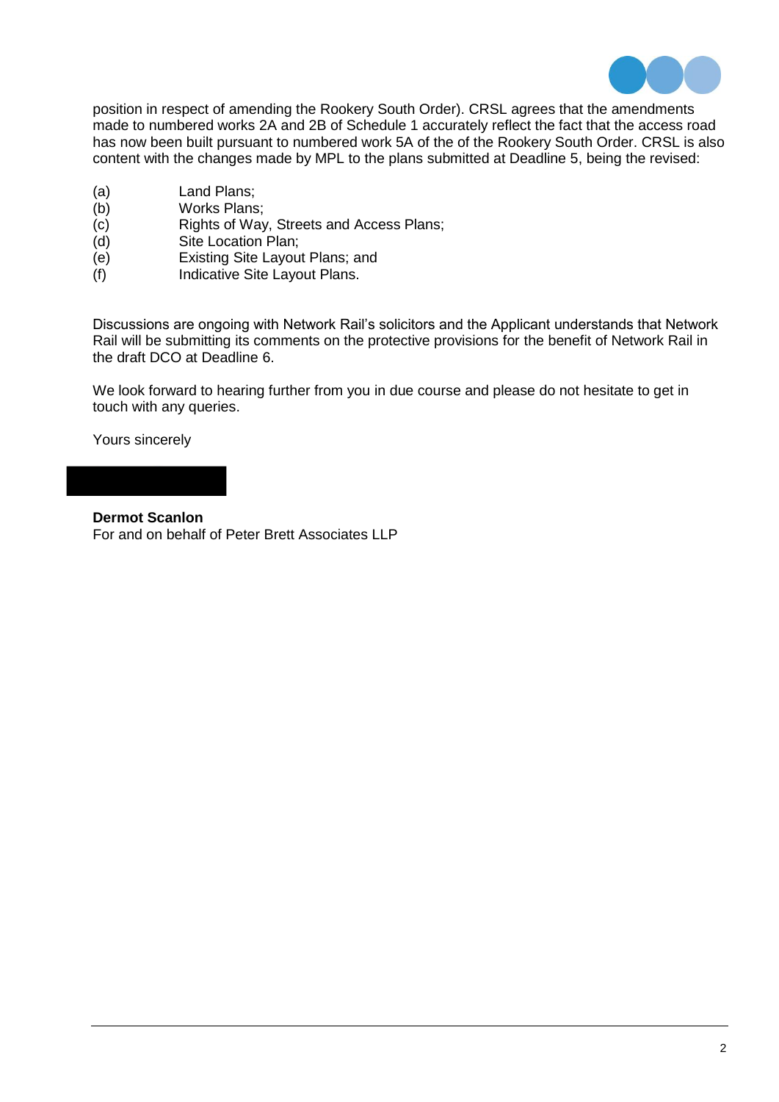

position in respect of amending the Rookery South Order). CRSL agrees that the amendments made to numbered works 2A and 2B of Schedule 1 accurately reflect the fact that the access road has now been built pursuant to numbered work 5A of the of the Rookery South Order. CRSL is also content with the changes made by MPL to the plans submitted at Deadline 5, being the revised:

- (a) Land Plans;<br>(b) Works Plans
- (b) Works Plans;<br>(c) Rights of Way
- Rights of Way, Streets and Access Plans;
- (d) Site Location Plan;
- (e) Existing Site Layout Plans; and
- (f) Indicative Site Layout Plans.

Discussions are ongoing with Network Rail's solicitors and the Applicant understands that Network Rail will be submitting its comments on the protective provisions for the benefit of Network Rail in the draft DCO at Deadline 6.

We look forward to hearing further from you in due course and please do not hesitate to get in touch with any queries.

Yours sincerely

**Dermot Scanlon** For and on behalf of Peter Brett Associates LLP